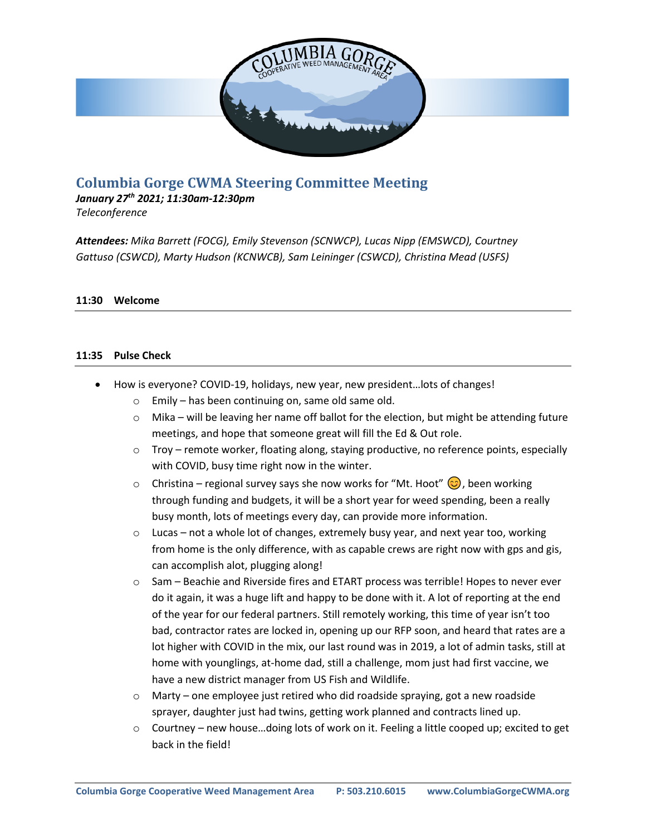

# **Columbia Gorge CWMA Steering Committee Meeting**

*January 27th 2021; 11:30am-12:30pm*

*Teleconference*

*Attendees: Mika Barrett (FOCG), Emily Stevenson (SCNWCP), Lucas Nipp (EMSWCD), Courtney Gattuso (CSWCD), Marty Hudson (KCNWCB), Sam Leininger (CSWCD), Christina Mead (USFS)*

### **11:30 Welcome**

#### **11:35 Pulse Check**

- How is everyone? COVID-19, holidays, new year, new president... lots of changes!
	- o Emily has been continuing on, same old same old.
	- $\circ$  Mika will be leaving her name off ballot for the election, but might be attending future meetings, and hope that someone great will fill the Ed & Out role.
	- $\circ$  Troy remote worker, floating along, staying productive, no reference points, especially with COVID, busy time right now in the winter.
	- $\circ$  Christina regional survey says she now works for "Mt. Hoot"  $\circ$ , been working through funding and budgets, it will be a short year for weed spending, been a really busy month, lots of meetings every day, can provide more information.
	- o Lucas not a whole lot of changes, extremely busy year, and next year too, working from home is the only difference, with as capable crews are right now with gps and gis, can accomplish alot, plugging along!
	- o Sam Beachie and Riverside fires and ETART process was terrible! Hopes to never ever do it again, it was a huge lift and happy to be done with it. A lot of reporting at the end of the year for our federal partners. Still remotely working, this time of year isn't too bad, contractor rates are locked in, opening up our RFP soon, and heard that rates are a lot higher with COVID in the mix, our last round was in 2019, a lot of admin tasks, still at home with younglings, at-home dad, still a challenge, mom just had first vaccine, we have a new district manager from US Fish and Wildlife.
	- $\circ$  Marty one employee just retired who did roadside spraying, got a new roadside sprayer, daughter just had twins, getting work planned and contracts lined up.
	- $\circ$  Courtney new house...doing lots of work on it. Feeling a little cooped up; excited to get back in the field!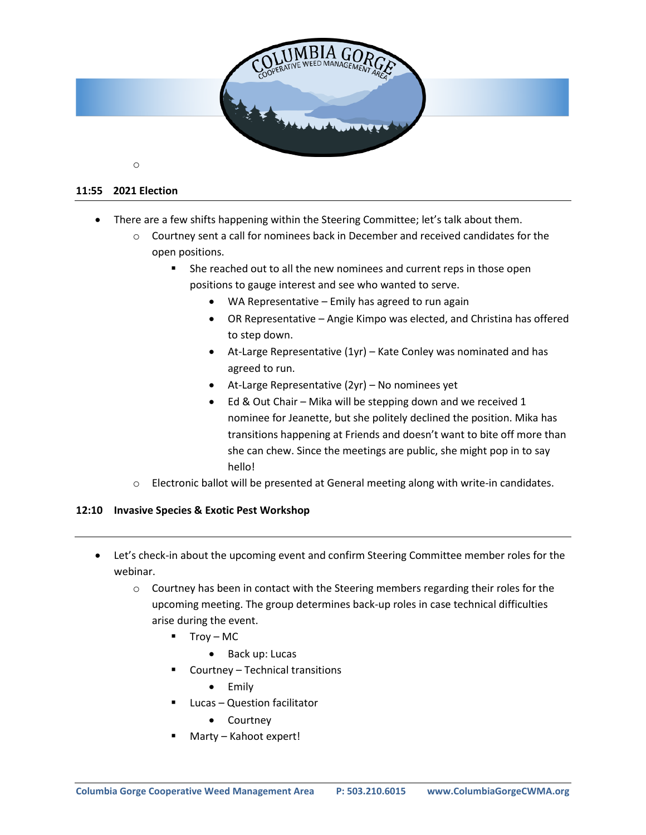

#### **11:55 2021 Election**

- There are a few shifts happening within the Steering Committee; let's talk about them.
	- o Courtney sent a call for nominees back in December and received candidates for the open positions.
		- She reached out to all the new nominees and current reps in those open positions to gauge interest and see who wanted to serve.
			- WA Representative Emily has agreed to run again
			- OR Representative Angie Kimpo was elected, and Christina has offered to step down.
			- At-Large Representative (1yr) Kate Conley was nominated and has agreed to run.
			- At-Large Representative (2yr) No nominees yet
			- Ed & Out Chair Mika will be stepping down and we received 1 nominee for Jeanette, but she politely declined the position. Mika has transitions happening at Friends and doesn't want to bite off more than she can chew. Since the meetings are public, she might pop in to say hello!
	- $\circ$  Electronic ballot will be presented at General meeting along with write-in candidates.

#### **12:10 Invasive Species & Exotic Pest Workshop**

- Let's check-in about the upcoming event and confirm Steering Committee member roles for the webinar.
	- $\circ$  Courtney has been in contact with the Steering members regarding their roles for the upcoming meeting. The group determines back-up roles in case technical difficulties arise during the event.
		- Troy MC
			- Back up: Lucas
		- Courtney Technical transitions
			- Emily
		- Lucas Question facilitator
			- Courtney
		- Marty Kahoot expert!